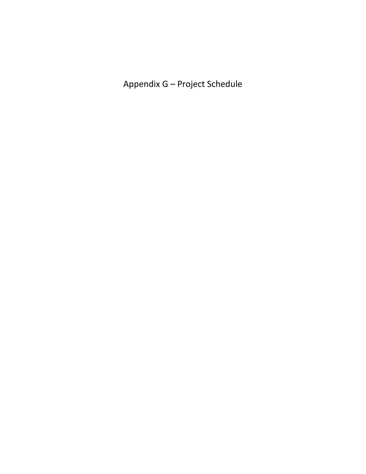Appendix G – Project Schedule